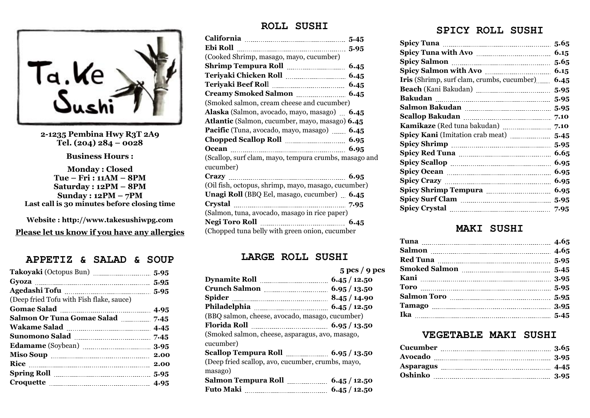

**2-1235 Pembina Hwy R3T 2A9 Tel. (204) 284 – 0028**

**Business Hours :**

**Monday : Closed Tue – Fri : 11AM – 8PM Saturday : 12PM – 8PM Sunday : 12PM – 7PM Last call is 30 minutes before closing time** 

**Website : http://www.takesushiwpg.com Please let us know if you have any allergies**

# **APPETIZ & SALAD & SOUP**

| (Deep fried Tofu with Fish flake, sauce)      |  |
|-----------------------------------------------|--|
|                                               |  |
| Salmon Or Tuna Gomae Salad 7.45               |  |
|                                               |  |
| Sunomono Salad <b>Marting and Taylor</b> 7.45 |  |
|                                               |  |
| Miso Soup <u>manual communication</u> 2.00    |  |
| Rice 2.00                                     |  |
|                                               |  |
| Croquette <u>manual communication</u> 4.95    |  |

## **ROLL SUSHI**

| (Cooked Shrimp, masago, mayo, cucumber)                      |  |
|--------------------------------------------------------------|--|
|                                                              |  |
|                                                              |  |
|                                                              |  |
|                                                              |  |
| (Smoked salmon, cream cheese and cucumber)                   |  |
| Alaska (Salmon, avocado, mayo, masago) 6.45                  |  |
| <b>Atlantic</b> (Salmon, cucumber, mayo, masago) <b>6.45</b> |  |
| Pacific (Tuna, avocado, mayo, masago) 6.45                   |  |
|                                                              |  |
|                                                              |  |
| (Scallop, surf clam, mayo, tempura crumbs, masago and        |  |
| cucumber)                                                    |  |
|                                                              |  |
| (Oil fish, octopus, shrimp, mayo, masago, cucumber)          |  |
| Unagi Roll (BBQ Eel, masago, cucumber) 6.45                  |  |
|                                                              |  |
| (Salmon, tuna, avocado, masago in rice paper)                |  |
|                                                              |  |
| (Chopped tuna belly with green onion, cucumber               |  |

#### **LARGE ROLL SUSHI**

|                                                   | $5 \text{ }$ pcs / 9 pcs |
|---------------------------------------------------|--------------------------|
|                                                   |                          |
|                                                   |                          |
|                                                   |                          |
|                                                   |                          |
| (BBQ salmon, cheese, avocado, masago, cucumber)   |                          |
|                                                   |                          |
| (Smoked salmon, cheese, asparagus, avo, masago,   |                          |
| cucumber)                                         |                          |
|                                                   |                          |
| (Deep fried scallop, avo, cucumber, crumbs, mayo, |                          |
| masago)                                           |                          |
|                                                   |                          |
| Futo Maki <u>masses 6.45</u> / 12.50              |                          |

# **SPICY ROLL SUSHI**

|                                                   | 5.65 |
|---------------------------------------------------|------|
|                                                   | 6.15 |
|                                                   | 5.65 |
|                                                   | 6.15 |
| <b>Iris</b> (Shrimp, surf clam, crumbs, cucumber) | 6.45 |
|                                                   | 5.95 |
|                                                   | 5.95 |
|                                                   |      |
|                                                   | 7.10 |
|                                                   | 7.10 |
| Spicy Kani (Imitation crab meat) <b>1996</b> 1945 |      |
|                                                   | 5.95 |
|                                                   | 6.65 |
|                                                   | 6.95 |
|                                                   | 6.95 |
|                                                   | 6.95 |
|                                                   | 6.95 |
|                                                   | 5.95 |
|                                                   |      |

## **MAKI SUSHI**

| Red Tuna marrow 3.95 | Tuna 1.05 |
|----------------------|-----------|
|                      |           |
|                      |           |
|                      |           |
|                      |           |
|                      |           |
|                      |           |
|                      |           |
|                      |           |

#### **VEGETABLE MAKI SUSHI**

| Cucumber |  |
|----------|--|
|          |  |
|          |  |
|          |  |